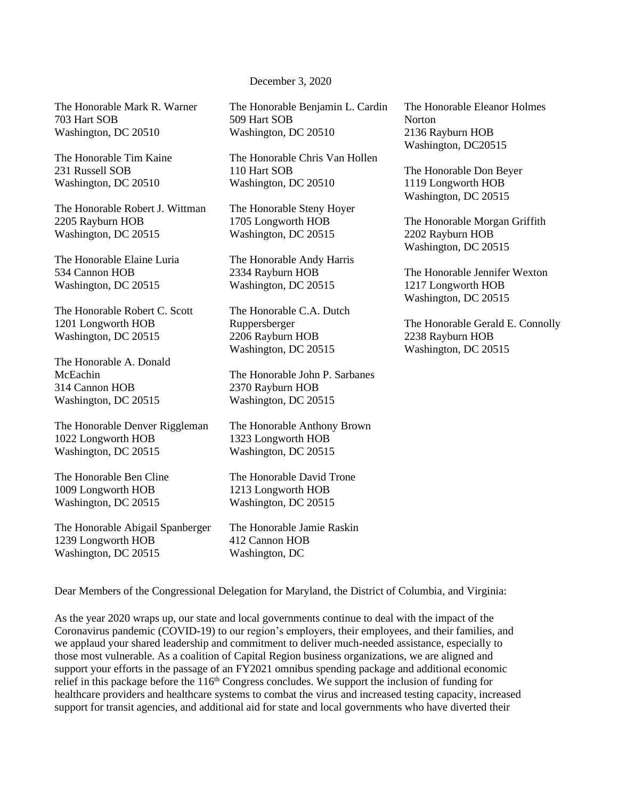December 3, 2020

The Honorable Mark R. Warner 703 Hart SOB Washington, DC 20510

The Honorable Tim Kaine 231 Russell SOB Washington, DC 20510

The Honorable Robert J. Wittman 2205 Rayburn HOB Washington, DC 20515

The Honorable Elaine Luria 534 Cannon HOB Washington, DC 20515

The Honorable Robert C. Scott 1201 Longworth HOB Washington, DC 20515

The Honorable A. Donald McEachin 314 Cannon HOB Washington, DC 20515

The Honorable Denver Riggleman 1022 Longworth HOB Washington, DC 20515

The Honorable Ben Cline 1009 Longworth HOB Washington, DC 20515

The Honorable Abigail Spanberger 1239 Longworth HOB Washington, DC 20515

The Honorable Benjamin L. Cardin 509 Hart SOB Washington, DC 20510

The Honorable Chris Van Hollen 110 Hart SOB Washington, DC 20510

The Honorable Steny Hoyer 1705 Longworth HOB Washington, DC 20515

The Honorable Andy Harris 2334 Rayburn HOB Washington, DC 20515

The Honorable C.A. Dutch Ruppersberger 2206 Rayburn HOB Washington, DC 20515

The Honorable John P. Sarbanes 2370 Rayburn HOB Washington, DC 20515

The Honorable Anthony Brown 1323 Longworth HOB Washington, DC 20515

The Honorable David Trone 1213 Longworth HOB Washington, DC 20515

The Honorable Jamie Raskin 412 Cannon HOB Washington, DC

The Honorable Eleanor Holmes Norton 2136 Rayburn HOB Washington, DC20515

The Honorable Don Beyer 1119 Longworth HOB Washington, DC 20515

The Honorable Morgan Griffith 2202 Rayburn HOB Washington, DC 20515

The Honorable Jennifer Wexton 1217 Longworth HOB Washington, DC 20515

The Honorable Gerald E. Connolly 2238 Rayburn HOB Washington, DC 20515

Dear Members of the Congressional Delegation for Maryland, the District of Columbia, and Virginia:

As the year 2020 wraps up, our state and local governments continue to deal with the impact of the Coronavirus pandemic (COVID-19) to our region's employers, their employees, and their families, and we applaud your shared leadership and commitment to deliver much-needed assistance, especially to those most vulnerable. As a coalition of Capital Region business organizations, we are aligned and support your efforts in the passage of an FY2021 omnibus spending package and additional economic relief in this package before the 116<sup>th</sup> Congress concludes. We support the inclusion of funding for healthcare providers and healthcare systems to combat the virus and increased testing capacity, increased support for transit agencies, and additional aid for state and local governments who have diverted their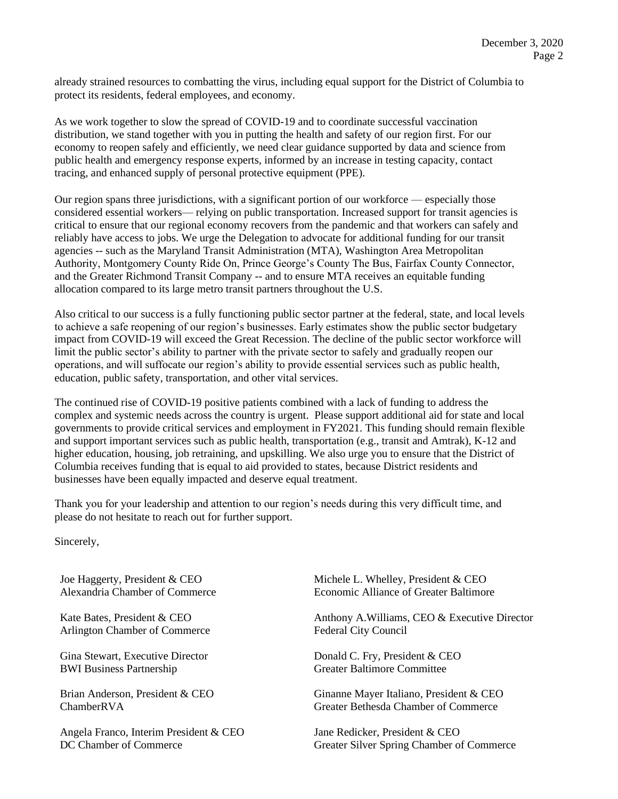already strained resources to combatting the virus, including equal support for the District of Columbia to protect its residents, federal employees, and economy.

As we work together to slow the spread of COVID-19 and to coordinate successful vaccination distribution, we stand together with you in putting the health and safety of our region first. For our economy to reopen safely and efficiently, we need clear guidance supported by data and science from public health and emergency response experts, informed by an increase in testing capacity, contact tracing, and enhanced supply of personal protective equipment (PPE).

Our region spans three jurisdictions, with a significant portion of our workforce — especially those considered essential workers— relying on public transportation. Increased support for transit agencies is critical to ensure that our regional economy recovers from the pandemic and that workers can safely and reliably have access to jobs. We urge the Delegation to advocate for additional funding for our transit agencies -- such as the Maryland Transit Administration (MTA), Washington Area Metropolitan Authority, Montgomery County Ride On, Prince George's County The Bus, Fairfax County Connector, and the Greater Richmond Transit Company -- and to ensure MTA receives an equitable funding allocation compared to its large metro transit partners throughout the U.S.

Also critical to our success is a fully functioning public sector partner at the federal, state, and local levels to achieve a safe reopening of our region's businesses. Early estimates show the public sector budgetary impact from COVID-19 will exceed the Great Recession. The decline of the public sector workforce will limit the public sector's ability to partner with the private sector to safely and gradually reopen our operations, and will suffocate our region's ability to provide essential services such as public health, education, public safety, transportation, and other vital services.

The continued rise of COVID-19 positive patients combined with a lack of funding to address the complex and systemic needs across the country is urgent. Please support additional aid for state and local governments to provide critical services and employment in FY2021. This funding should remain flexible and support important services such as public health, transportation (e.g., transit and Amtrak), K-12 and higher education, housing, job retraining, and upskilling. We also urge you to ensure that the District of Columbia receives funding that is equal to aid provided to states, because District residents and businesses have been equally impacted and deserve equal treatment.

Thank you for your leadership and attention to our region's needs during this very difficult time, and please do not hesitate to reach out for further support.

Sincerely,

Joe Haggerty, President & CEO Alexandria Chamber of Commerce

Kate Bates, President & CEO Arlington Chamber of Commerce

Gina Stewart, Executive Director BWI Business Partnership

Brian Anderson, President & CEO ChamberRVA

Angela Franco, Interim President & CEO DC Chamber of Commerce

Michele L. Whelley, President & CEO Economic Alliance of Greater Baltimore

Anthony A.Williams, CEO & Executive Director Federal City Council

Donald C. Fry, President & CEO Greater Baltimore Committee

Ginanne Mayer Italiano, President & CEO Greater Bethesda Chamber of Commerce

Jane Redicker, President & CEO Greater Silver Spring Chamber of Commerce